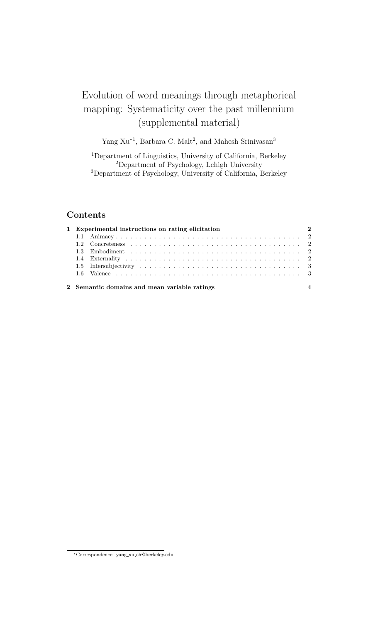# Evolution of word meanings through metaphorical mapping: Systematicity over the past millennium (supplemental material)

Yang Xu<sup>\*1</sup>, Barbara C. Malt<sup>2</sup>, and Mahesh Srinivasan<sup>3</sup>

<sup>1</sup>Department of Linguistics, University of California, Berkeley <sup>2</sup>Department of Psychology, Lehigh University <sup>3</sup>Department of Psychology, University of California, Berkeley

## Contents

|  | $\overline{\textbf{2}}$<br>1 Experimental instructions on rating elicitation |  |
|--|------------------------------------------------------------------------------|--|
|  |                                                                              |  |
|  |                                                                              |  |
|  |                                                                              |  |
|  |                                                                              |  |
|  |                                                                              |  |
|  |                                                                              |  |
|  | 2 Semantic domains and mean variable ratings                                 |  |

<sup>∗</sup>Correspondence: yang xu ch@berkeley.edu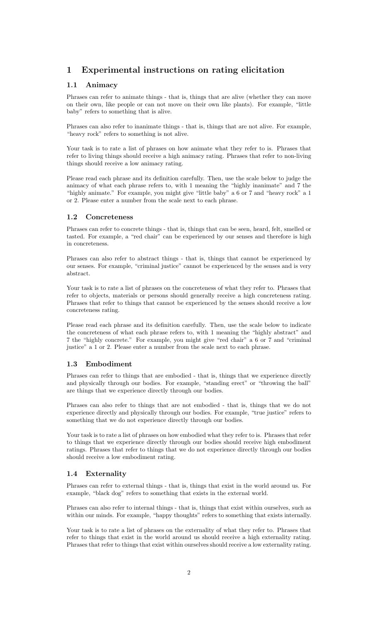# 1 Experimental instructions on rating elicitation

## 1.1 Animacy

Phrases can refer to animate things - that is, things that are alive (whether they can move on their own, like people or can not move on their own like plants). For example, "little baby" refers to something that is alive.

Phrases can also refer to inanimate things - that is, things that are not alive. For example, "heavy rock" refers to something is not alive.

Your task is to rate a list of phrases on how animate what they refer to is. Phrases that refer to living things should receive a high animacy rating. Phrases that refer to non-living things should receive a low animacy rating.

Please read each phrase and its definition carefully. Then, use the scale below to judge the animacy of what each phrase refers to, with 1 meaning the "highly inanimate" and 7 the "highly animate." For example, you might give "little baby" a 6 or 7 and "heavy rock" a 1 or 2. Please enter a number from the scale next to each phrase.

### 1.2 Concreteness

Phrases can refer to concrete things - that is, things that can be seen, heard, felt, smelled or tasted. For example, a "red chair" can be experienced by our senses and therefore is high in concreteness.

Phrases can also refer to abstract things - that is, things that cannot be experienced by our senses. For example, "criminal justice" cannot be experienced by the senses and is very abstract.

Your task is to rate a list of phrases on the concreteness of what they refer to. Phrases that refer to objects, materials or persons should generally receive a high concreteness rating. Phrases that refer to things that cannot be experienced by the senses should receive a low concreteness rating.

Please read each phrase and its definition carefully. Then, use the scale below to indicate the concreteness of what each phrase refers to, with 1 meaning the "highly abstract" and 7 the "highly concrete." For example, you might give "red chair" a 6 or 7 and "criminal justice" a 1 or 2. Please enter a number from the scale next to each phrase.

#### 1.3 Embodiment

Phrases can refer to things that are embodied - that is, things that we experience directly and physically through our bodies. For example, "standing erect" or "throwing the ball" are things that we experience directly through our bodies.

Phrases can also refer to things that are not embodied - that is, things that we do not experience directly and physically through our bodies. For example, "true justice" refers to something that we do not experience directly through our bodies.

Your task is to rate a list of phrases on how embodied what they refer to is. Phrases that refer to things that we experience directly through our bodies should receive high embodiment ratings. Phrases that refer to things that we do not experience directly through our bodies should receive a low embodiment rating.

### 1.4 Externality

Phrases can refer to external things - that is, things that exist in the world around us. For example, "black dog" refers to something that exists in the external world.

Phrases can also refer to internal things - that is, things that exist within ourselves, such as within our minds. For example, "happy thoughts" refers to something that exists internally.

Your task is to rate a list of phrases on the externality of what they refer to. Phrases that refer to things that exist in the world around us should receive a high externality rating. Phrases that refer to things that exist within ourselves should receive a low externality rating.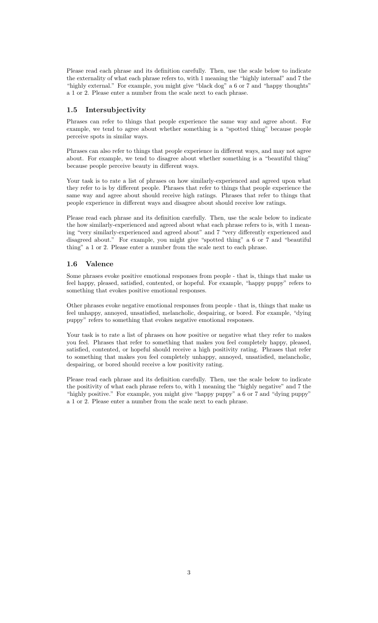Please read each phrase and its definition carefully. Then, use the scale below to indicate the externality of what each phrase refers to, with 1 meaning the "highly internal" and 7 the "highly external." For example, you might give "black dog" a 6 or 7 and "happy thoughts" a 1 or 2. Please enter a number from the scale next to each phrase.

#### 1.5 Intersubjectivity

Phrases can refer to things that people experience the same way and agree about. For example, we tend to agree about whether something is a "spotted thing" because people perceive spots in similar ways.

Phrases can also refer to things that people experience in different ways, and may not agree about. For example, we tend to disagree about whether something is a "beautiful thing" because people perceive beauty in different ways.

Your task is to rate a list of phrases on how similarly-experienced and agreed upon what they refer to is by different people. Phrases that refer to things that people experience the same way and agree about should receive high ratings. Phrases that refer to things that people experience in different ways and disagree about should receive low ratings.

Please read each phrase and its definition carefully. Then, use the scale below to indicate the how similarly-experienced and agreed about what each phrase refers to is, with 1 meaning "very similarly-experienced and agreed about" and 7 "very differently experienced and disagreed about." For example, you might give "spotted thing" a 6 or 7 and "beautiful thing" a 1 or 2. Please enter a number from the scale next to each phrase.

#### 1.6 Valence

Some phrases evoke positive emotional responses from people - that is, things that make us feel happy, pleased, satisfied, contented, or hopeful. For example, "happy puppy" refers to something that evokes positive emotional responses.

Other phrases evoke negative emotional responses from people - that is, things that make us feel unhappy, annoyed, unsatisfied, melancholic, despairing, or bored. For example, "dying puppy" refers to something that evokes negative emotional responses.

Your task is to rate a list of phrases on how positive or negative what they refer to makes you feel. Phrases that refer to something that makes you feel completely happy, pleased, satisfied, contented, or hopeful should receive a high positivity rating. Phrases that refer to something that makes you feel completely unhappy, annoyed, unsatisfied, melancholic, despairing, or bored should receive a low positivity rating.

Please read each phrase and its definition carefully. Then, use the scale below to indicate the positivity of what each phrase refers to, with 1 meaning the "highly negative" and 7 the "highly positive." For example, you might give "happy puppy" a 6 or 7 and "dying puppy" a 1 or 2. Please enter a number from the scale next to each phrase.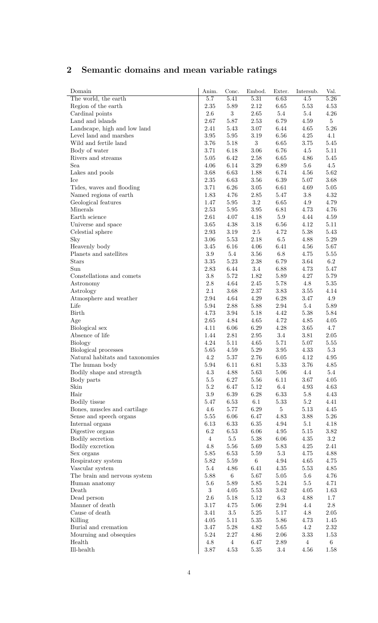# 2 Semantic domains and mean variable ratings

| Domain                                          | Anim.            | Conc.            | Embod.           | Exter.               | Intersub.      | Val.         |
|-------------------------------------------------|------------------|------------------|------------------|----------------------|----------------|--------------|
| The world, the earth                            | 5.7              | 5.41             | 5.31             | 6.63                 | 4.5            | 5.26         |
| Region of the earth                             | 2.35             | $5.89\,$         | 2.12             | 6.65                 | 5.53           | 4.53         |
| Cardinal points                                 | 2.6              | $\boldsymbol{3}$ | 2.65             | 5.4                  | $5.4\,$        | 4.26         |
| Land and islands                                | 2.67             | 5.87             | 2.53             | 6.79                 | 4.59           | $5\,$        |
| Landscape, high and low land                    | 2.41             | 5.43             | $3.07\,$         | 6.44                 | 4.65           | 5.26         |
| Level land and marshes                          | 3.95             | 5.95             | 3.19             | 6.56                 | 4.25           | 4.1          |
| Wild and fertile land                           | 3.76             | 5.18             | $\boldsymbol{3}$ | 6.65                 | 3.75           | $5.45\,$     |
| Body of water                                   | 3.71             | 6.18             | 3.06             | 6.76                 | 4.5            | 5.11         |
| Rivers and streams                              | 5.05             | 6.42             | 2.58             | $6.65\,$             | 4.86           | $5.45\,$     |
| Sea                                             | 4.06             | $6.14\,$         | $3.29\,$         | 6.89                 | $5.6\,$        | 4.5          |
| Lakes and pools                                 | 3.68             | 6.63             | 1.88             | 6.74                 | 4.56           | $5.62\,$     |
| Ice                                             | 2.35             | 6.63             | $3.56\,$         | $6.39\,$             | 5.07           | $3.68\,$     |
| Tides, waves and flooding                       | 3.71             | $6.26\,$         | $3.05\,$         | 6.61                 | 4.69           | $5.05\,$     |
| Named regions of earth                          | 1.83             | 4.76             | 2.85             | 5.47                 | $3.8\,$        | 4.32         |
| Geological features                             | 1.47             | 5.95             | $3.2\,$          | $6.65\,$             | 4.9            | 4.79         |
| Minerals                                        | 2.53             | 5.95             | $3.95\,$         | 6.81                 | 4.73           | 4.76         |
| Earth science                                   | 2.61             | 4.07             | 4.18             | $5.9\,$              | 4.44           | 4.59         |
| Universe and space                              | 3.65             | 4.38             | $3.18\,$         | 6.56                 | 4.12           | 5.11<br>5.43 |
| Celestial sphere                                | 2.93             | 3.19             | 2.5              | 4.72                 | 5.38           | 5.29         |
| Sky                                             | 3.06<br>3.45     | 5.53<br>6.16     | 2.18<br>4.06     | $6.5\,$<br>6.41      | 4.88<br>4.56   | 5.67         |
| Heavenly body<br>Planets and satellites         | $3.9\,$          | $5.4\,$          | 3.56             | $6.8\,$              | 4.75           | 5.55         |
| <b>Stars</b>                                    | 3.35             | 5.23             | 2.38             | 6.79                 | 3.64           | 6.2          |
| Sun                                             | 2.83             | 6.44             | $3.4\,$          | 6.88                 | 4.73           | 5.47         |
| Constellations and comets                       | 3.8              | 5.72             | 1.82             | 5.89                 | 4.27           | 5.79         |
| Astronomy                                       | 2.8              | 4.64             | 2.45             | 5.78                 | 4.8            | $5.35\,$     |
| Astrology                                       | 2.1              | 3.68             | $2.37\,$         | 3.83                 | $3.55\,$       | 4.14         |
| Atmosphere and weather                          | 2.94             | 4.64             | 4.29             | $6.28\,$             | 3.47           | 4.9          |
| Life                                            | 5.94             | 2.88             | 5.88             | 2.94                 | $5.4\,$        | 5.89         |
| Birth                                           | 4.73             | 3.94             | 5.18             | 4.42                 | 5.38           | 5.84         |
| Age                                             | 2.65             | 4.84             | 4.65             | 4.72                 | 4.85           | 4.05         |
| Biological sex                                  | 4.11             | 6.06             | $6.29\,$         | $4.28\,$             | 3.65           | 4.7          |
| Absence of life                                 | 1.44             | 2.81             | 2.95             | 3.4                  | 3.81           | 2.05         |
| <b>Biology</b>                                  | 4.24             | 5.11             | 4.65             | 5.71                 | 5.07           | 5.55         |
| Biological processes                            | 5.65             | 4.59             | $5.29\,$         | $3.95\,$             | 4.33           | $5.3\,$      |
| Natural habitats and taxonomies                 | 4.2              | $5.37\,$         | 2.76             | 6.05                 | 4.12           | 4.95         |
| The human body                                  | 5.94             | 6.11             | 6.81             | 5.33                 | 3.76           | 4.85         |
| Bodily shape and strength                       | $4.3\,$          | 4.88             | 5.63             | 5.06                 | 4.4            | 5.4          |
| Body parts                                      | $5.5\,$          | 6.27             | $5.56\,$         | 6.11                 | 3.67           | $4.05\,$     |
| Skin                                            | $5.2\,$          | 6.47             | $5.12\,$         | 6.4                  | 4.93           | 4.63         |
| Hair                                            | 3.9              | $6.39\,$         | $6.28\,$         | 6.33                 | $5.8\,$        | 4.43         |
| Bodily tissue                                   | 5.47             | 6.53             | 6.1              | $5.33\,$             | $5.2\,$        | 4.41         |
| Bones, muscles and cartilage                    | 4.6              | 5.77             | $6.29\,$         | $\overline{5}$       | $5.13\,$       | 4.45         |
| Sense and speech organs                         | $5.55\,$         | $6.06\,$         | 6.47             | $4.83\,$             | 3.88           | $5.26\,$     |
| Internal organs                                 | 6.13             | 6.33             | $6.35\,$         | $4.94\,$             | 5.1            | 4.18         |
| Digestive organs                                | 6.2              | 6.53             | $6.06\,$         | $4.95\,$             | $5.15\,$       | $3.82\,$     |
| Bodily secretion                                | $\overline{4}$   | $5.5\,$          | $5.38\,$         | $6.06\,$             | 4.35           | $\!3.2\!$    |
| Bodily excretion                                | 4.8              | 5.56             | 5.69             | $5.83\,$             | 4.25           | 2.41         |
| Sex organs                                      | 5.85             | 6.53             | 5.59             | $5.3\,$              | 4.75           | 4.88         |
| Respiratory system                              | 5.82<br>5.4      | 5.59<br>4.86     | $\,6\,$<br>6.41  | $4.94\,$<br>$4.35\,$ | 4.65<br>5.53   | 4.75<br>4.85 |
| Vascular system<br>The brain and nervous system | 5.88             | $\,6\,$          | 5.67             | 5.05                 | 5.6            | 4.76         |
| Human anatomy                                   | 5.6              | 5.89             | $5.85\,$         | $5.24\,$             | $5.5\,$        | 4.71         |
| Death                                           | $\boldsymbol{3}$ | 4.05             | 5.53             | 3.62                 | 4.05           | 1.63         |
| Dead person                                     | $2.6\,$          | 5.18             | $5.12\,$         | $6.3\,$              | 4.88           | 1.7          |
| Manner of death                                 | $3.17\,$         | 4.75             | $5.06\,$         | $2.94\,$             | 4.4            | $2.8\,$      |
| Cause of death                                  | 3.41             | $3.5\,$          | $5.25\,$         | 5.17                 | 4.8            | 2.05         |
| Killing                                         | 4.05             | 5.11             | $5.35\,$         | $5.86\,$             | 4.73           | 1.45         |
| Burial and cremation                            | 3.47             | $5.28\,$         | 4.82             | 5.65                 | $4.2\,$        | $2.32\,$     |
| Mourning and obsequies                          | $5.24\,$         | $2.27\,$         | 4.86             | 2.06                 | $3.33\,$       | 1.53         |
| Health                                          | $4.8\,$          | $\overline{4}$   | 6.47             | $2.89\,$             | $\overline{4}$ | $\,6\,$      |
| $I$ ll-health                                   | 3.87             | 4.53             | $5.35\,$         | $3.4\,$              | 4.56           | 1.58         |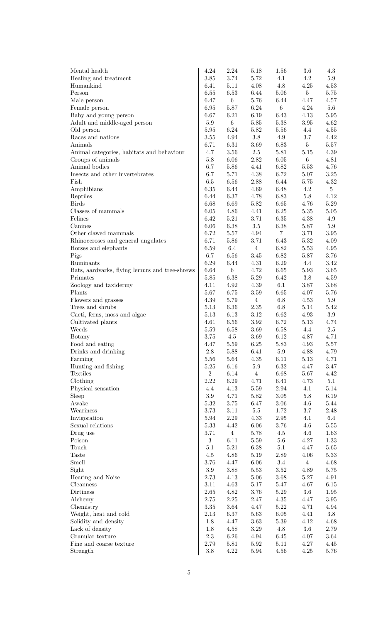| Mental health                                  | 4.24             | 2.24             | 5.18             | 1.56             | 3.6             | 4.3            |
|------------------------------------------------|------------------|------------------|------------------|------------------|-----------------|----------------|
| Healing and treatment                          | 3.85             | 3.74             | 5.72             | 4.1              | 4.2             | $5.9\,$        |
| Humankind                                      | 6.41             | $5.11\,$         | 4.08             | 4.8              | $4.25\,$        | 4.53           |
| Person                                         | 6.55             | 6.53             | 6.44             | 5.06             | $5\phantom{.0}$ | 5.75           |
| Male person                                    | 6.47             | $6\,$            | 5.76             | 6.44             | 4.47            | 4.57           |
| Female person                                  | 6.95             | $5.87\,$         | $6.24\,$         | $\,6\,$          | 4.24            | $5.6\,$        |
| Baby and young person                          | 6.67             | 6.21             | 6.19             | 6.43             | 4.13            | 5.95           |
| Adult and middle-aged person                   | $5.9\,$          | $6\,$            | $5.85\,$         | 5.38             | $3.95\,$        | 4.62           |
| Old person                                     | 5.95             | 6.24             | $5.82\,$         | 5.56             | 4.4             | 4.55           |
| Races and nations                              | $3.55\,$         | 4.94             | 3.8              | 4.9              | 3.7             | 4.42           |
| Animals                                        | 6.71             | 6.31             | 3.69             | 6.83             | $5\phantom{.0}$ | 5.57           |
| Animal categories, habitats and behaviour      | 4.7              | 3.56             | 2.5              | $5.81\,$         | $5.15\,$        | 4.39           |
| Groups of animals<br>Animal bodies             | $5.8\,$<br>6.7   | 6.06             | $2.82\,$         | 6.05             | $6\phantom{.0}$ | 4.81<br>4.76   |
| Insects and other invertebrates                | 6.7              | $5.86\,$<br>5.71 | 4.41<br>$4.38\,$ | $6.82\,$<br>6.72 | 5.53<br>5.07    | 3.25           |
| Fish                                           | $6.5\,$          | 6.56             | $2.88\,$         | 6.44             | 5.75            | 4.32           |
| Amphibians                                     | 6.35             | 6.44             | 4.69             | 6.48             | 4.2             | 5 <sup>5</sup> |
| Reptiles                                       | 6.44             | 6.37             | 4.78             | 6.83             | $5.8\,$         | 4.12           |
| <b>Birds</b>                                   | 6.68             | 6.69             | $5.82\,$         | 6.65             | 4.76            | 5.29           |
| Classes of mammals                             | $6.05\,$         | 4.86             | 4.41             | $6.25\,$         | $5.35\,$        | 5.05           |
| Felines                                        | 6.42             | $5.21\,$         | 3.71             | $6.35\,$         | 4.38            | 4.9            |
| Canines                                        | 6.06             | 6.38             | 3.5              | 6.38             | 5.87            | $5.9\,$        |
| Other clawed mammals                           | 6.72             | 5.57             | $4.94\,$         | $7\phantom{.}$   | 3.71            | 3.95           |
| Rhinoceroses and general ungulates             | 6.71             | 5.86             | 3.71             | 6.43             | $5.32\,$        | 4.09           |
| Horses and elephants                           | 6.59             | $6.4\,$          | $\overline{4}$   | 6.82             | 5.53            | 4.95           |
| Pigs                                           | 6.7              | 6.56             | 3.45             | $6.82\,$         | 5.87            | 3.76           |
| Ruminants                                      | 6.29             | 6.44             | 4.31             | 6.29             | 4.4             | 3.42           |
| Bats, aardvarks, flying lemurs and tree-shrews | 6.64             | $\,6\,$          | 4.72             | 6.65             | 5.93            | 3.65           |
| Primates                                       | 5.85             | 6.38             | $5.29\,$         | 6.42             | $3.8\,$         | 4.59           |
| Zoology and taxidermy                          | 4.11             | 4.92             | $4.39\,$         | 6.1              | 3.87            | 3.68           |
| Plants                                         | 5.67             | 6.75             | 3.59             | 6.65             | 4.07            | 5.76           |
| Flowers and grasses                            | $4.39\,$         | 5.79             | $\overline{4}$   | $6.8\,$          | 4.53            | 5.9            |
| Trees and shrubs                               | $5.13\,$         | 6.36             | $2.35\,$         | $6.8\,$          | 5.14            | 5.42           |
| Cacti, ferns, moss and algae                   | $5.13\,$         | 6.13             | 3.12             | 6.62             | 4.93            | 3.9            |
| Cultivated plants<br>Weeds                     | 4.61<br>$5.59\,$ | 6.56<br>6.58     | 3.92<br>3.69     | 6.72<br>$6.58\,$ | 5.13<br>4.4     | 4.74<br>2.5    |
| <b>Botany</b>                                  | 3.75             | $4.5\,$          | 3.69             | 6.12             | 4.87            | 4.71           |
| Food and eating                                | 4.47             | 5.59             | 6.25             | 5.83             | $4.93\,$        | 5.57           |
| Drinks and drinking                            | $2.8\,$          | 5.88             | 6.41             | $5.9\,$          | 4.88            | 4.79           |
| Farming                                        | 5.56             | $5.64\,$         | $4.35\,$         | $6.11\,$         | $5.13\,$        | 4.71           |
| Hunting and fishing                            | $5.25\,$         | $6.16\,$         | $5.9\,$          | $6.32\,$         | 4.47            | 3.47           |
| Textiles                                       | $\overline{2}$   | 6.14             | $\overline{4}$   | 6.68             | 5.67            | 4.42           |
| Clothing                                       | 2.22             | 6.29             | 4.71             | 6.41             | 4.73            | 5.1            |
| Physical sensation                             | 4.4              | 4.13             | 5.59             | $2.94\,$         | 4.1             | 5.14           |
| Sleep                                          | $3.9\,$          | 4.71             | $5.82\,$         | $3.05\,$         | $5.8\,$         | 6.19           |
| Awake                                          | 5.32             | $3.75\,$         | 6.47             | $3.06\,$         | $4.6\,$         | 5.44           |
| Weariness                                      | 3.73             | $3.11\,$         | $5.5\,$          | 1.72             | $3.7\,$         | 2.48           |
| Invigoration                                   | $5.94\,$         | $2.29\,$         | 4.33             | $2.95\,$         | 4.1             | 6.4            |
| Sexual relations                               | 5.33             | 4.42             | $6.06\,$         | 3.76             | $4.6\,$         | 5.55           |
| Drug use                                       | 3.71             | $\,4\,$          | $5.78\,$         | $4.5\,$          | $4.6\,$         | 1.63           |
| Poison                                         | $\boldsymbol{3}$ | 6.11             | 5.59             | $5.6\,$          | 4.27            | 1.33           |
| Touch<br>Taste                                 | 5.1<br>4.5       | $5.21\,$<br>4.86 | $6.38\,$<br>5.19 | 5.1<br>2.89      | 4.47<br>4.06    | 5.65<br>5.33   |
| Smell                                          | 3.76             | 4.47             | 6.06             | 3.4              | $\overline{4}$  | 4.68           |
| Sight                                          | $3.9\,$          | 3.88             | $5.53\,$         | $3.52\,$         | 4.89            | 5.75           |
| Hearing and Noise                              | 2.73             | 4.13             | $5.06\,$         | 3.68             | $5.27\,$        | 4.91           |
| Cleanness                                      | 3.11             | 4.63             | 5.17             | 5.47             | 4.67            | 6.15           |
| Dirtiness                                      | $2.65\,$         | 4.82             | 3.76             | 5.29             | $3.6\,$         | 1.95           |
| Alchemy                                        | $2.75\,$         | $2.25\,$         | 2.47             | $4.35\,$         | 4.47            | 3.95           |
| Chemistry                                      | $3.35\,$         | $3.64\,$         | 4.47             | $5.22\,$         | 4.71            | 4.94           |
| Weight, heat and cold                          | 2.13             | $6.37\,$         | 5.63             | $6.05\,$         | 4.41            | $3.8\,$        |
| Solidity and density                           | $1.8\,$          | 4.47             | 3.63             | $5.39\,$         | 4.12            | 4.68           |
| Lack of density                                | 1.8              | 4.58             | $3.29\,$         | $4.8\,$          | $3.6\,$         | 2.79           |
| Granular texture                               | $2.3\,$          | $6.26\,$         | 4.94             | $6.45\,$         | 4.07            | 3.64           |
| Fine and coarse texture                        | 2.79             | 5.81             | 5.92             | $5.11\,$         | 4.27            | 4.45           |
| Strength                                       | $3.8\,$          | 4.22             | $5.94\,$         | 4.56             | 4.25            | 5.76           |
|                                                |                  |                  |                  |                  |                 |                |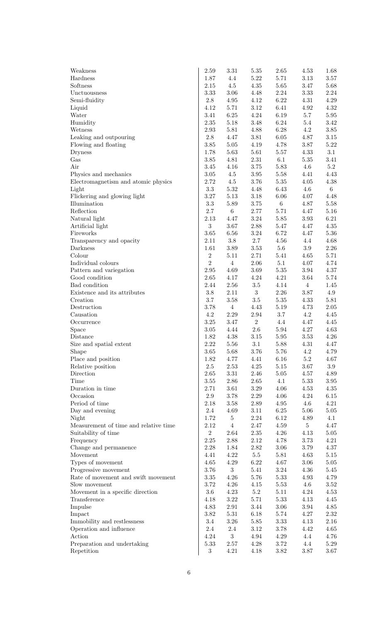| Weakness                              | 2.59                 | $3.31\,$                | $5.35\,$             | 2.65             | 4.53                | 1.68                |
|---------------------------------------|----------------------|-------------------------|----------------------|------------------|---------------------|---------------------|
| Hardness                              | 1.87                 | 4.4                     | $5.22\,$             | 5.71             | 3.13                | 3.57                |
| Softness                              | 2.15                 | $4.5\,$                 | 4.35                 | $5.65\,$         | $3.47\,$            | 5.68                |
| Unctuousness                          | 3.33                 | 3.06                    | 4.48                 | $2.24\,$         | 3.33                | 2.24                |
| Semi-fluidity                         | $2.8\,$              | $4.95\,$                | 4.12                 | 6.22             | $4.31\,$            | 4.29                |
| Liquid                                | 4.12                 | 5.71                    | $3.12\,$             | 6.41             | 4.92                | 4.32                |
| Water                                 | 3.41                 | $6.25\,$                | $4.24\,$             | 6.19             | $5.7\,$             | 5.95                |
| Humidity                              | $2.35\,$             | 5.18                    | 3.48                 | $6.24\,$         | $5.4\,$             | 3.42                |
| Wetness                               | $2.93\,$             | 5.81                    | 4.88                 | 6.28             | 4.2                 | 3.85                |
| Leaking and outpouring                | $2.8\,$              | 4.47                    | $3.81\,$             | $6.05\,$         | 4.87                | 3.15                |
| Flowing and floating                  | 3.85                 | $5.05\,$                | $4.19\,$             | 4.78             | $3.87\,$            | 5.22                |
| <b>Dryness</b>                        | 1.78                 | 5.63                    | 5.61                 | $5.57\,$         | $4.33\,$            | 3.1                 |
| Gas<br>Air                            | $3.85\,$<br>$3.45\,$ | 4.81<br>4.16            | $2.31\,$<br>$3.75\,$ | 6.1<br>$5.83\,$  | $5.35\,$<br>$4.6\,$ | $3.41\,$<br>$5.2\,$ |
| Physics and mechanics                 | $3.05\,$             | $4.5\,$                 | $3.95\,$             | $5.58\,$         | 4.41                | 4.43                |
| Electromagnetism and atomic physics   | 2.72                 | $4.5\,$                 | 3.76                 | $5.35\,$         | 4.05                | 4.38                |
| Light                                 | $3.3\,$              | $5.32\,$                | 4.48                 | $6.43\,$         | $4.6\,$             | 6 <sup>1</sup>      |
| Flickering and glowing light          | $3.27\,$             | $5.13\,$                | $3.18\,$             | $6.06\,$         | 4.07                | 4.48                |
| Illumination                          | $3.3\,$              | $5.89\,$                | $3.75\,$             | $6\,$            | 4.87                | 5.58                |
| Reflection                            | $2.7\,$              | $\,6\,$                 | 2.77                 | $5.71\,$         | 4.47                | 5.16                |
| Natural light                         | 2.13                 | 4.47                    | $3.24\,$             | $5.85\,$         | $3.93\,$            | $6.21\,$            |
| Artificial light                      | $\sqrt{3}$           | 3.67                    | 2.88                 | $5.47\,$         | 4.47                | 4.35                |
| Fireworks                             | 3.65                 | 6.56                    | $3.24\,$             | 6.72             | 4.47                | 5.36                |
| Transparency and opacity              | $2.11\,$             | $3.8\,$                 | 2.7                  | 4.56             | 4.4                 | 4.68                |
| Darkness                              | 1.61                 | $3.89\,$                | $3.53\,$             | $5.6\,$          | $3.9\,$             | 2.26                |
| Colour                                | $\,2$                | $5.11\,$                | 2.71                 | $5.41\,$         | $4.65\,$            | 5.71                |
| Individual colours                    | $\overline{2}$       | $\overline{4}$          | 2.06                 | 5.1              | 4.07                | 4.74                |
| Pattern and variegation               | 2.95                 | 4.69                    | 3.69                 | $5.35\,$         | $3.94\,$            | 4.37                |
| Good condition                        | 2.65                 | 4.17                    | 4.24                 | $4.21\,$         | 3.64                | 5.74                |
| Bad condition                         | 2.44                 | $2.56\,$                | $3.5\,$              | 4.14             | $\overline{4}$      | 1.45                |
| Existence and its attributes          | $3.8\,$              | $2.11\,$                | $\boldsymbol{3}$     | $2.26\,$         | $3.87\,$            | 4.9                 |
| Creation                              | $3.7\,$              | 3.58                    | $3.5\,$              | $5.35\,$         | 4.33                | $5.81\,$            |
| Destruction                           | 3.78                 | $\overline{4}$          | 4.43                 | $5.19\,$         | 4.73                | $2.05\,$            |
| Causation                             | 4.2                  | $2.29\,$                | $2.94\,$             | $3.7\,$          | 4.2                 | 4.45                |
| Occurrence                            | 3.25                 | $3.47\,$                | $\overline{2}$       | 4.4              | 4.47                | 4.45                |
| Space                                 | $3.05\,$             | 4.44                    | $2.6\,$              | $5.94\,$         | 4.27                | 4.63                |
| Distance                              | 1.82                 | 4.38                    | $3.15\,$             | 5.95             | 3.53                | 4.26                |
| Size and spatial extent               | $2.22\,$             | $5.56\,$                | 3.1                  | 5.88             | 4.31                | 4.47                |
| Shape<br>Place and position           | 3.65                 | 5.68                    | 3.76                 | 5.76<br>$6.16\,$ | 4.2<br>$5.2\,$      | 4.79                |
| Relative position                     | 1.82<br>2.5          | 4.77<br>2.53            | 4.41<br>4.25         | $5.15\,$         | 3.67                | 4.67<br>3.9         |
| Direction                             | $2.65\,$             | $3.31\,$                | 2.46                 | $5.05\,$         | 4.57                | 4.89                |
| Time                                  | $3.55\,$             | 2.86                    | 2.65                 | 4.1              | 5.33                | 3.95                |
| Duration in time                      | 2.71                 | 3.61                    | 3.29                 | 4.06             | 4.53                | 4.35                |
| Occasion                              | $2.9\,$              | 3.78                    | 2.29                 | 4.06             | 4.24                | 6.15                |
| Period of time                        | 2.18                 | 3.58                    | 2.89                 | 4.95             | 4.6                 | 4.21                |
| Day and evening                       | $2.4\,$              | 4.69                    | 3.11                 | $6.25\,$         | 5.06                | 5.05                |
| Night                                 | 1.72                 | $\overline{5}$          | 2.24                 | $6.12\,$         | 4.89                | 4.1                 |
| Measurement of time and relative time | 2.12                 | $\overline{4}$          | 2.47                 | 4.59             | $\overline{5}$      | 4.47                |
| Suitability of time                   | $\overline{2}$       | 2.64                    | 2.35                 | 4.26             | 4.13                | 5.05                |
| Frequency                             | $2.25\,$             | 2.88                    | 2.12                 | 4.78             | 3.73                | 4.21                |
| Change and permanence                 | 2.28                 | 1.84                    | 2.82                 | $3.06\,$         | 3.79                | 4.37                |
| Movement                              | 4.41                 | 4.22                    | $5.5\,$              | 5.81             | 4.63                | 5.15                |
| Types of movement                     | 4.65                 | 4.29                    | 6.22                 | 4.67             | 3.06                | 5.05                |
| Progressive movement                  | 3.76                 | $\boldsymbol{3}$        | 5.41                 | $3.24\,$         | 4.36                | 5.45                |
| Rate of movement and swift movement   | $3.35\,$             | 4.26                    | 5.76                 | $5.33\,$         | 4.93                | 4.79                |
| Slow movement                         | 3.72                 | 4.26                    | 4.15                 | $5.53\,$         | 4.6                 | 3.52                |
| Movement in a specific direction      | $3.6\,$              | 4.23                    | $5.2\,$              | 5.11             | 4.24                | 4.53                |
| Transference                          | 4.18                 | $3.22\,$                | 5.71                 | $5.33\,$         | 4.13                | 4.45                |
| Impulse                               | 4.83                 | $2.91\,$                | 3.44                 | 3.06             | 3.94                | 4.85                |
| Impact                                | $3.82\,$             | $5.31\,$                | 6.18                 | 5.74             | 4.27                | 2.32                |
| Immobility and restlessness           | $3.4\,$              | $3.26\,$                | 5.85                 | 3.33             | 4.13                | 2.16                |
| Operation and influence<br>Action     | $2.4\,$<br>$4.24\,$  | 2.4<br>$\boldsymbol{3}$ | 3.12<br>4.94         | $3.78\,$<br>4.29 | 4.42<br>4.4         | 4.65<br>4.76        |
| Preparation and undertaking           | 5.33                 | 2.57                    | 4.28                 | $3.72\,$         | 4.4                 | 5.29                |
| Repetition                            | $\sqrt{3}$           | 4.21                    | 4.18                 | $3.82\,$         | $3.87\,$            | 3.67                |
|                                       |                      |                         |                      |                  |                     |                     |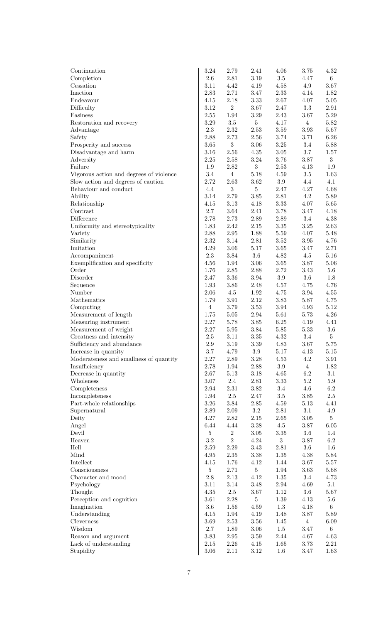| Continuation                                                                  | $3.24\,$           | 2.79                       | 2.41                       | 4.06             | 3.75            | 4.32            |
|-------------------------------------------------------------------------------|--------------------|----------------------------|----------------------------|------------------|-----------------|-----------------|
| Completion                                                                    | $2.6\,$            | $2.81\,$                   | $3.19\,$                   | $3.5\,$          | 4.47            | 6 <sup>1</sup>  |
| Cessation                                                                     | 3.11               | 4.42                       | 4.19                       | 4.58             | 4.9             | 3.67            |
| Inaction                                                                      | 2.83               | 2.71                       | 3.47                       | $2.33\,$         | 4.14            | 1.82            |
| Endeavour                                                                     | 4.15               | 2.18                       | $3.33\,$                   | $2.67\,$         | 4.07            | $5.05\,$        |
| Difficulty                                                                    | 3.12               | $\sqrt{2}$                 | $3.67\,$                   | $2.47\,$         | $3.3\,$         | $2.91\,$        |
| Easiness                                                                      | $2.55\,$           | 1.94                       | $3.29\,$                   | 2.43             | $3.67\,$        | $5.29\,$        |
| Restoration and recovery                                                      | $3.29\,$           | $3.5\,$                    | $\overline{5}$             | 4.17             | $\overline{4}$  | 5.82            |
| Advantage                                                                     | $2.3\,$            | $2.32\,$                   | $2.53\,$                   | 3.59             | $3.93\,$        | 5.67            |
| Safety                                                                        | 2.88               | 2.73                       | $2.56\,$                   | 3.74             | 3.71            | 6.26            |
| Prosperity and success                                                        | 3.65               | $\sqrt{3}$                 | $3.06\,$                   | $3.25\,$         | $3.4\,$         | 5.88            |
| Disadvantage and harm                                                         | 3.16               | 2.56                       | 4.35                       | $3.05\,$         | $3.7\,$         | 1.57            |
| Adversity<br>Failure                                                          | 2.25               | $2.58\,$                   | $3.24\,$<br>$\overline{3}$ | $3.76\,$         | $3.87\,$        | $\sqrt{3}$      |
|                                                                               | $1.9\,$<br>$3.4\,$ | $2.82\,$<br>$\overline{4}$ | $5.18\,$                   | $2.53\,$<br>4.59 | 4.13<br>$3.5\,$ | 1.9             |
| Vigorous action and degrees of violence<br>Slow action and degrees of caution | 2.72               | 2.63                       | $3.62\,$                   | $3.9\,$          | 4.4             | 1.63<br>4.1     |
| Behaviour and conduct                                                         | 4.4                | $\sqrt{3}$                 | $\bf 5$                    | $2.47\,$         | 4.27            | 4.68            |
| Ability                                                                       | $3.14\,$           | 2.79                       | $3.85\,$                   | $2.81\,$         | 4.2             | 5.89            |
| Relationship                                                                  | 4.15               | $3.13\,$                   | 4.18                       | 3.33             | 4.07            | $5.65\,$        |
| Contrast                                                                      | 2.7                | $3.64\,$                   | 2.41                       | 3.78             | 3.47            | 4.18            |
| Difference                                                                    | 2.78               | 2.73                       | $2.89\,$                   | $2.89\,$         | 3.4             | 4.38            |
| Uniformity and stereotypicality                                               | 1.83               | 2.42                       | $2.15\,$                   | $3.35\,$         | $3.25\,$        | 2.63            |
| Variety                                                                       | 2.88               | $2.95\,$                   | 1.88                       | $5.59\,$         | 4.07            | 5.48            |
| Similarity                                                                    | 2.32               | 3.14                       | $2.81\,$                   | $3.52\,$         | $3.95\,$        | 4.76            |
| Imitation                                                                     | 4.29               | $3.06\,$                   | $5.17\,$                   | $3.65\,$         | 3.47            | 2.71            |
| Accompaniment                                                                 | 2.3                | $3.84\,$                   | $3.6\,$                    | 4.82             | $4.5\,$         | 5.16            |
| Exemplification and specificity                                               | 4.56               | 1.94                       | $3.06\,$                   | $3.65\,$         | 3.87            | 5.06            |
| Order                                                                         | 1.76               | $2.85\,$                   | $2.88\,$                   | 2.72             | $3.43\,$        | $5.6\,$         |
| Disorder                                                                      | 2.47               | $3.36\,$                   | 3.94                       | $3.9\,$          | $3.6\,$         | 1.8             |
| Sequence                                                                      | 1.93               | 3.86                       | 2.48                       | 4.57             | 4.75            | 4.76            |
| Number                                                                        | $2.06\,$           | $4.5\,$                    | 1.92                       | 4.75             | $3.94\,$        | 4.55            |
| Mathematics                                                                   | 1.79               | $3.91\,$                   | 2.12                       | 3.83             | 5.87            | 4.75            |
| Computing                                                                     | $\overline{4}$     | 3.79                       | $3.53\,$                   | $3.94\,$         | 4.93            | 5.12            |
| Measurement of length                                                         | 1.75               | $5.05\,$                   | 2.94                       | 5.61             | 5.73            | 4.26            |
| Measuring instrument                                                          | 2.27               | 5.78                       | $3.85\,$                   | $6.25\,$         | 4.19            | 4.41            |
| Measurement of weight                                                         | 2.27               | $5.95\,$                   | 3.84                       | $5.85\,$         | 5.33            | $3.6\,$         |
| Greatness and intensity                                                       | $2.5\,$            | 3.11                       | $3.35\,$                   | 4.32             | 3.4             | $\overline{5}$  |
| Sufficiency and abundance                                                     | $2.9\,$            | 3.19                       | 3.39                       | $4.83\,$         | 3.67            | $5.75\,$        |
| Increase in quantity<br>Moderateness and smallness of quantity                | 3.7<br>2.27        | 4.79<br>$2.89\,$           | 3.9<br>3.28                | 5.17<br>4.53     | 4.13<br>$4.2\,$ | 5.15<br>3.91    |
| Insufficiency                                                                 | 2.78               | $1.94\,$                   | 2.88                       | $3.9\,$          | $\overline{4}$  | 1.82            |
| Decrease in quantity                                                          | 2.67               | $5.13\,$                   | 3.18                       | 4.65             | $6.2\,$         | 3.1             |
| Wholeness                                                                     | $3.07\,$           | $2.4\,$                    | 2.81                       | 3.33             | $5.2\,$         | 5.9             |
| Completeness                                                                  | 2.94               | $2.31\,$                   | 3.82                       | $3.4\,$          | $4.6\,$         | $6.2\,$         |
| Incompleteness                                                                | 1.94               | $2.5\,$                    | 2.47                       | $3.5\,$          | 3.85            | $2.5\,$         |
| Part-whole relationships                                                      | $3.26\,$           | $3.84\,$                   | 2.85                       | 4.59             | 5.13            | 4.41            |
| Supernatural                                                                  | $2.89\,$           | $2.09\,$                   | $3.2\,$                    | 2.81             | 3.1             | 4.9             |
| Deity                                                                         | 4.27               | $2.82\,$                   | 2.15                       | 2.65             | 3.05            | $5\phantom{.0}$ |
| Angel                                                                         | 6.44               | 4.44                       | $3.38\,$                   | $4.5\,$          | 3.87            | 6.05            |
| Devil                                                                         | $\overline{5}$     | $\sqrt{2}$                 | 3.05                       | $3.35\,$         | $3.6\,$         | 1.4             |
| Heaven                                                                        | $\!3.2\!$          | $\overline{2}$             | 4.24                       | $\overline{3}$   | 3.87            | $6.2\,$         |
| Hell                                                                          | $2.59\,$           | $2.29\,$                   | 3.43                       | $2.81\,$         | $3.6\,$         | $1.6\,$         |
| Mind                                                                          | 4.95               | $2.35\,$                   | 3.38                       | 1.35             | 4.38            | 5.84            |
| Intellect                                                                     | 4.15               | 1.76                       | 4.12                       | 1.44             | 3.67            | 5.57            |
| Consciousness                                                                 | $5\phantom{.0}$    | 2.71                       | $\overline{5}$             | $1.94\,$         | 3.63            | 5.68            |
| Character and mood                                                            | $2.8\,$            | $2.13\,$                   | 4.12                       | $1.35\,$         | 3.4             | 4.73            |
| Psychology                                                                    | 3.11               | $3.14\,$                   | 3.48                       | $2.94\,$         | 4.69            | 5.1             |
| Thought                                                                       | 4.35               | $2.5\,$                    | 3.67                       | 1.12             | $3.6\,$         | 5.67            |
| Perception and cognition                                                      | 3.61               | 2.28                       | $\overline{5}$             | $1.39\,$         | 4.13            | $5.6\,$         |
| Imagination                                                                   | $3.6\,$            | 1.56                       | 4.59                       | $1.3\,$          | 4.18            | 6               |
| Understanding                                                                 | 4.15               | 1.94                       | 4.19                       | 1.48             | 3.87            | 5.89            |
| Cleverness<br>Wisdom                                                          | 3.69               | 2.53                       | 3.56                       | 1.45             | $\overline{4}$  | 6.09            |
| Reason and argument                                                           | $2.7\,$<br>3.83    | 1.89<br>$2.95\,$           | 3.06<br>3.59               | $1.5\,$<br>2.44  | 3.47<br>4.67    | 6<br>4.63       |
| Lack of understanding                                                         | $2.15\,$           | $2.26\,$                   | 4.15                       | 1.65             | 3.73            | $2.21\,$        |
| Stupidity                                                                     | $3.06\,$           | 2.11                       | 3.12                       | 1.6              | 3.47            | 1.63            |
|                                                                               |                    |                            |                            |                  |                 |                 |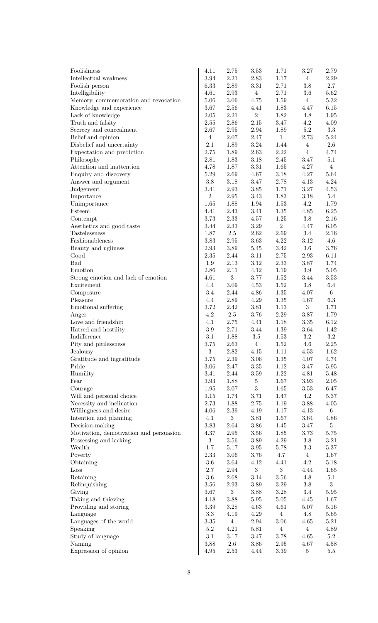| Foolishness                                  | 4.11            | 2.75             | 3.53                                                      | 1.71                   | 3.27           | 2.79                   |
|----------------------------------------------|-----------------|------------------|-----------------------------------------------------------|------------------------|----------------|------------------------|
| Intellectual weakness                        | 3.94            | $2.21\,$         | $2.83\,$                                                  | 1.17                   | $\overline{4}$ | 2.29                   |
| Foolish person                               | 6.33            | $2.89\,$         | $3.31\,$                                                  | 2.71                   | 3.8            | 2.7                    |
| Intelligibility                              | 4.61            | $2.93\,$         | $\overline{4}$                                            | 2.71                   | $3.6\,$        | 5.62                   |
| Memory, commemoration and revocation         | 5.06            | $3.06\,$         | 4.75                                                      | $1.59\,$               | $\overline{4}$ | 5.32                   |
| Knowledge and experience                     | 3.67            | $2.56\,$         | 4.41                                                      | 1.83                   | 4.47           | 6.15                   |
| Lack of knowledge                            | 2.05            | $2.21\,$         | $\overline{2}$                                            | 1.82                   | 4.8            | 1.95                   |
| Truth and falsity                            | 2.55            | $2.86\,$         | $2.15\,$                                                  | 3.47                   | 4.2            | 4.09                   |
| Secrecy and concealment                      | 2.67            | $2.95\,$         | $2.94\,$                                                  | 1.89                   | $5.2\,$        | $3.3\,$                |
| Belief and opinion                           | $\overline{4}$  | $2.07\,$         | $2.47\,$                                                  | $\mathbf{1}$           | 2.73           | 5.24                   |
| Disbelief and uncertainty                    | 2.1             | 1.89             | $3.24\,$                                                  | 1.44                   | $\overline{4}$ | $2.6\,$                |
| Expectation and prediction                   | 2.75            | 1.89             | 2.63                                                      | 2.22                   | $\overline{4}$ | 4.74                   |
| Philosophy                                   | 2.81            | 1.83             | $3.18\,$                                                  | $2.45\,$               | 3.47           | 5.1                    |
| Attention and inattention                    | 4.78<br>5.29    | 1.87<br>2.69     | $3.31\,$<br>4.67                                          | 1.65<br>$3.18\,$       | 4.27<br>4.27   | $\overline{4}$<br>5.64 |
| Enquiry and discovery<br>Answer and argument | $3.8\,$         | $3.18\,$         | $3.47\,$                                                  | $2.78\,$               | 4.13           | 4.24                   |
| Judgement                                    | 3.41            | $2.93\,$         | $3.85\,$                                                  | 1.71                   | $3.27\,$       | 4.53                   |
| Importance                                   | $\overline{2}$  | $2.95\,$         | $3.43\,$                                                  | $1.83\,$               | $3.18\,$       | 5.4                    |
| Unimportance                                 | 1.65            | 1.88             | $1.94\,$                                                  | $1.53\,$               | 4.2            | 1.79                   |
| Esteem                                       | 4.41            | 2.43             | 3.41                                                      | $1.35\,$               | $4.85\,$       | 6.25                   |
| Contempt                                     | 3.73            | 2.33             | 4.57                                                      | $1.25\,$               | $3.8\,$        | 2.16                   |
| Aesthetics and good taste                    | 3.44            | $2.33\,$         | $3.29\,$                                                  | $\overline{2}$         | 4.47           | $6.05\,$               |
| Tastelessness                                | 1.87            | $2.5\,$          | $2.62\,$                                                  | $2.69\,$               | 3.4            | 2.16                   |
| Fashionableness                              | 3.83            | $2.95\,$         | 3.63                                                      | $4.22\,$               | $3.12\,$       | $4.6\,$                |
| Beauty and ugliness                          | $2.93\,$        | $3.89\,$         | $5.45\,$                                                  | $3.42\,$               | $3.6\,$        | 3.76                   |
| Good                                         | $2.35\,$        | 2.44             | 3.11                                                      | $2.75\,$               | $2.93\,$       | 6.11                   |
| <b>Bad</b>                                   | 1.9             | $2.13\,$         | 3.12                                                      | $2.33\,$               | 3.87           | 1.74                   |
| Emotion                                      | 2.86            | 2.11             | 4.12                                                      | $1.19\,$               | $3.9\,$        | $5.05\,$               |
| Strong emotion and lack of emotion           | 4.61            | $\sqrt{3}$       | $3.77\,$                                                  | 1.52                   | $3.44\,$       | $3.53\,$               |
| Excitement                                   | 4.4             | $3.09\,$         | 4.53                                                      | $1.52\,$               | $3.8\,$        | $6.4\,$                |
| Composure                                    | 3.4             | 2.44             | 4.86                                                      | $1.35\,$               | 4.07           | $6\overline{6}$        |
| Pleasure                                     | 4.4             | $2.89\,$         | 4.29                                                      | $1.35\,$               | 4.67           | $6.3\,$                |
| Emotional suffering                          | 3.72            | 2.42             | $3.81\,$                                                  | $1.13\,$               | $\mathbf{3}$   | 1.71                   |
| Anger                                        | 4.2             | $2.5\,$          | 3.76                                                      | $2.29\,$               | $3.87\,$       | 1.79                   |
| Love and friendship                          | 4.1             | $2.75\,$         | 4.41                                                      | 1.18                   | $3.35\,$       | 6.12                   |
| Hatred and hostility                         | $\!.9$          | 2.71             | $3.44\,$                                                  | $1.39\,$               | 3.64           | 1.42                   |
| Indifference                                 | 3.1<br>3.75     | 1.88             | $3.5\,$                                                   | $1.53\,$               | $\!3.2\!$      | 3.2                    |
| Pity and pitilessness<br>Jealousy            | $\sqrt{3}$      | 2.63<br>$2.82\,$ | $4\phantom{.00000}\phantom{.0000000000000000000}$<br>4.15 | 1.52<br>1.11           | 4.6<br>4.53    | $2.25\,$<br>1.62       |
| Gratitude and ingratitude                    | 3.75            | $2.39\,$         | $3.06\,$                                                  | $1.35\,$               | $4.07\,$       | 4.74                   |
| Pride                                        | $3.06\,$        | $2.47\,$         | $3.35\,$                                                  | 1.12                   | 3.47           | 5.95                   |
| Humility                                     | 3.41            | 2.44             | $3.59\,$                                                  | $1.22\,$               | 4.81           | 5.48                   |
| Fear                                         | $3.93\,$        | $1.88\,$         | $\bf 5$                                                   | 1.67                   | $3.93\,$       | $2.05\,$               |
| Courage                                      | 1.95            | $3.07\,$         | $\boldsymbol{3}$                                          | 1.65                   | 3.53           | 6.47                   |
| Will and personal choice                     | $3.15\,$        | 1.74             | 3.71                                                      | 1.47                   | 4.2            | 5.37                   |
| Necessity and inclination                    | 2.73            | 1.88             | 2.75                                                      | 1.19                   | 3.88           | 4.05                   |
| Willingness and desire                       | 4.06            | $2.39\,$         | 4.19                                                      | 1.17                   | 4.13           | 6                      |
| Intention and planning                       | 4.1             | $\sqrt{3}$       | $3.81\,$                                                  | 1.67                   | 3.64           | 4.86                   |
| Decision-making                              | 3.83            | 2.64             | $3.86\,$                                                  | 1.45                   | 3.47           | $5\phantom{.0}$        |
| Motivation, demotivation and persuasion      | 4.37            | 2.95             | $3.56\,$                                                  | 1.85                   | 3.73           | 5.75                   |
| Possessing and lacking                       | 3               | $3.56\,$         | $3.89\,$                                                  | $4.29\,$               | $3.8\,$        | $3.21\,$               |
| Wealth                                       | $1.7\,$         | $5.17\,$         | $3.95\,$                                                  | 5.78                   | $3.3\,$        | 5.37                   |
| Poverty                                      | 2.33            | $3.06\,$         | 3.76                                                      | 4.7                    | $\overline{4}$ | 1.67                   |
| Obtaining                                    | $3.6\,$         | 3.64             | 4.12                                                      | 4.41                   | 4.2            | 5.18                   |
| $\operatorname{Loss}$                        | $2.7\,$         | 2.94             | 3                                                         | $\overline{3}$         | 4.44           | 1.65                   |
| Retaining                                    | $3.6\,$         | 2.68             | $3.14\,$                                                  | $3.56\,$               | 4.8            | 5.1                    |
| Relinquishing                                | 3.56            | 2.93             | $3.89\,$                                                  | $3.29\,$               | $3.8\,$        | $\overline{3}$         |
| Giving                                       | 3.67            | $\,3$            | 3.88                                                      | $3.28\,$               | $3.4\,$        | 5.95                   |
| Taking and thieving                          | 4.18            | $3.88\,$         | $5.95\,$                                                  | $5.05\,$               | 4.45           | 1.67                   |
| Providing and storing<br>Language            | 3.39<br>$3.3\,$ | $3.28\,$<br>4.19 | 4.63<br>4.29                                              | 4.61<br>$\overline{4}$ | 5.07<br>4.8    | 5.16<br>5.65           |
| Languages of the world                       | $3.35\,$        | $\overline{4}$   | 2.94                                                      | $3.06\,$               | 4.65           | 5.21                   |
| Speaking                                     | $5.2\,$         | 4.21             | 5.81                                                      | $\overline{4}$         | $\overline{4}$ | 4.89                   |
| Study of language                            | 3.1             | $3.17\,$         | 3.47                                                      | $3.78\,$               | 4.65           | $5.2\,$                |
| Naming                                       | 3.88            | $2.6\,$          | 3.86                                                      | $2.95\,$               | 4.67           | 4.58                   |
| Expression of opinion                        | $4.95\,$        | 2.53             | 4.44                                                      | $3.39\,$               | $\bf 5$        | $5.5\,$                |
|                                              |                 |                  |                                                           |                        |                |                        |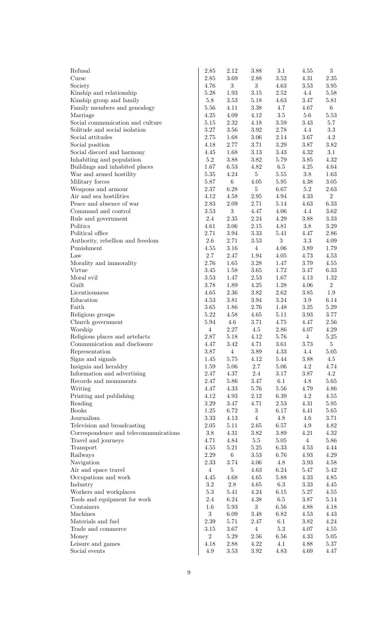| Refusal                                                              | 2.85                 | 2.12                 | 3.88             | 3.1                  | 4.55               | $\boldsymbol{3}$ |
|----------------------------------------------------------------------|----------------------|----------------------|------------------|----------------------|--------------------|------------------|
| Curse                                                                | 2.85                 | 3.69                 | 2.88             | $3.52\,$             | 4.31               | 2.35             |
| Society                                                              | 4.76                 | 3                    | 3 <sup>1</sup>   | 4.63                 | 3.53               | 3.95             |
| Kinship and relationship                                             | 5.28                 | 1.93                 | $3.15\,$         | $2.52\,$             | 4.4                | 5.58             |
| Kinship group and family                                             | $5.8\,$              | $3.53\,$             | 5.18             | 4.63                 | 3.47               | 5.81             |
| Family members and genealogy                                         | 5.56                 | 4.11                 | 3.38             | 4.7                  | 4.67               | 6 <sup>1</sup>   |
| Marriage                                                             | 4.25                 | $4.09\,$             | 4.12             | $3.5\,$              | $5.6\,$            | 5.53             |
| Social communication and culture                                     | 5.15                 | $2.32\,$             | 4.18             | $3.59\,$             | 3.43               | 5.7              |
| Solitude and social isolation                                        | 3.27                 | $3.56\,$             | 3.92             | $2.78\,$             | 4.4                | $3.3\,$          |
| Social attitudes                                                     | 2.75                 | 1.68                 | 3.06             | 2.14                 | $3.67\,$           | 4.2              |
| Social position                                                      | 4.18                 | 2.77                 | 3.71             | $3.29\,$             | 3.87               | 3.82             |
| Social discord and harmony                                           | 4.45<br>$5.2\,$      | 1.68<br>$3.88\,$     | 3.13             | $3.43\,$<br>$5.79\,$ | 4.32               | 3.1<br>4.32      |
| Inhabiting and population                                            | 1.67                 | 6.53                 | 3.82<br>4.82     | $6.5\,$              | 3.85<br>4.25       | 4.64             |
| Buildings and inhabited places<br>War and armed hostility            | 5.35                 | $4.24\,$             | 5 <sup>5</sup>   | $5.55\,$             | $3.8\,$            | 1.63             |
| Military forces                                                      | 5.87                 | $\,6\,$              | $4.05\,$         | $5.95\,$             | 4.38               | 3.05             |
| Weapons and armour                                                   | 2.37                 | $6.28\,$             | 5 <sup>1</sup>   | 6.67                 | 5.2                | 2.63             |
| Air and sea hostilities                                              | 4.12                 | $4.58\,$             | $2.95\,$         | $4.94\,$             | 4.33               | $\overline{2}$   |
| Peace and absence of war                                             | 2.83                 | 2.09                 | 2.71             | $5.14\,$             | 4.63               | 6.33             |
| Command and control                                                  | 3.53                 | $\boldsymbol{3}$     | 4.47             | 4.06                 | 4.4                | 3.62             |
| Rule and government                                                  | 2.4                  | $2.35\,$             | 2.24             | 4.29                 | $3.88\,$           | 3.33             |
| Politics                                                             | 4.61                 | $3.06\,$             | 2.15             | 4.81                 | $3.8\,$            | 3.29             |
| Political office                                                     | 2.71                 | $3.94\,$             | $3.33\,$         | 5.41                 | 4.47               | 2.86             |
| Authority, rebellion and freedom                                     | $2.6\,$              | 2.71                 | $3.53\,$         | $\overline{3}$       | $3.3\,$            | 4.09             |
| Punishment                                                           | 4.55                 | $3.16\,$             | $\overline{4}$   | 4.06                 | $3.89\,$           | 1.79             |
| Law                                                                  | 2.7                  | 2.47                 | 1.94             | 4.05                 | 4.73               | 4.53             |
| Morality and immorality                                              | 2.76                 | 1.65                 | $3.28\,$         | 1.47                 | 3.79               | 4.55             |
| Virtue                                                               | 3.45                 | 1.58                 | 3.65             | 1.72                 | 3.47               | 6.33             |
| Moral evil                                                           | 3.53                 | 1.47                 | 2.53             | 1.67                 | 4.13               | 1.32             |
| Guilt                                                                | 3.78                 | 1.89                 | $4.25\,$         | $1.28\,$             | 4.06               | $\overline{2}$   |
| Licentiousness                                                       | 4.65                 | $2.36\,$             | $3.82\,$         | $2.62\,$             | $3.85\,$           | $1.9\,$          |
| Education<br>Faith                                                   | 4.53                 | $3.81\,$             | 3.94             | $3.24\,$             | 3.9                | 6.14             |
| Religious groups                                                     | 3.65<br>5.22         | 1.86<br>4.58         | 2.76<br>4.65     | 1.48<br>$5.11$       | $3.25\,$<br>3.93   | 5.29<br>3.77     |
| Church government                                                    | 5.94                 | $4.6\,$              | 3.71             | 4.75                 | 4.47               | 2.56             |
| Worship                                                              | $\overline{4}$       | $2.27\,$             | 4.5              | 2.86                 | 4.07               | 4.29             |
| Religious places and artefacts                                       | 2.87                 | 5.18                 | 4.12             | 5.76                 | $\overline{4}$     | 5.25             |
| Communication and disclosure                                         | 4.47                 | 3.42                 | 4.71             | $3.61\,$             | 3.73               | $5\overline{)}$  |
| Representation                                                       | 3.87                 | $\overline{4}$       | 3.89             | $4.33\,$             | 4.4                | 5.05             |
| Signs and signals                                                    | 1.45                 | $5.75\,$             | 4.12             | 5.44                 | $3.88\,$           | 4.5              |
| Insignia and heraldry                                                | 1.59                 | $5.06\,$             | 2.7              | $5.06\,$             | $4.2\,$            | 4.74             |
| Information and advertising                                          | 2.47                 | $4.37\,$             | $2.4\,$          | $3.17\,$             | 3.87               | 4.2              |
| Records and monuments                                                | 2.47                 | $5.86\,$             | 3.47             | 6.1                  | $4.8\,$            | 5.65             |
| Writing                                                              | 4.47                 | $4.33\,$             | $5.76\,$         | $5.56\,$             | 4.79               | 4.86             |
| Printing and publishing                                              | 4.12                 | 4.93                 | $2.12\,$         | $6.39\,$             | 4.2                | 4.55             |
| Reading                                                              | 3.29                 | $3.47\,$             | 4.71             | 2.53                 | $4.31\,$           | 5.95             |
| <b>Books</b>                                                         | 1.25                 | $6.72\,$             | $\sqrt{3}$       | $6.17\,$             | 4.41               | 5.65             |
| Journalism                                                           | $3.33\,$<br>$2.05\,$ | $4.13\,$             | $\,4\,$          | $4.8\,$<br>6.57      | $4.6\,$<br>$4.9\,$ | 3.71<br>4.82     |
| Television and broadcasting<br>Correspondence and telecommunications | $3.8\,$              | $5.11\,$<br>$4.31\,$ | 2.65<br>$3.82\,$ | $3.89\,$             | 4.21               | 4.32             |
| Travel and journeys                                                  | 4.71                 | 4.84                 | $5.5\,$          | $5.05\,$             | $\overline{4}$     | 5.86             |
| Transport                                                            | 4.55                 | $5.21\,$             | $5.25\,$         | $6.33\,$             | 4.53               | 4.44             |
| Railways                                                             | 2.29                 | $\,6\,$              | $3.53\,$         | 6.76                 | $4.93\,$           | 4.29             |
| Navigation                                                           | 2.33                 | 3.74                 | 4.06             | $4.8\,$              | $3.93\,$           | 4.58             |
| Air and space travel                                                 | $\overline{4}$       | $\bf 5$              | 4.63             | $6.24\,$             | 5.47               | 5.42             |
| Occupations and work                                                 | 4.45                 | 4.68                 | 4.65             | $5.88\,$             | 4.33               | 4.85             |
| Industry                                                             | $3.2\,$              | $2.8\,$              | 4.65             | $6.3\,$              | 3.33               | 4.45             |
| Workers and workplaces                                               | $5.3\,$              | 5.41                 | 4.24             | $6.15\,$             | $5.27\,$           | 4.55             |
| Tools and equipment for work                                         | 2.4                  | 6.24                 | $4.38\,$         | $6.5\,$              | $3.87\,$           | 5.14             |
| Containers                                                           | $1.6\,$              | $5.93\,$             | $\overline{3}$   | $6.56\,$             | 4.88               | 4.18             |
| Machines                                                             | 3                    | $6.09\,$             | 3.48             | 6.82                 | 4.53               | 4.43             |
| Materials and fuel                                                   | 2.39                 | 5.71                 | 2.47             | 6.1                  | 3.82               | 4.24             |
| Trade and commerce                                                   | 3.15                 | $3.67\,$             | $\overline{4}$   | $5.3\,$              | 4.07               | 4.55             |
| Money                                                                | $\overline{2}$       | $5.29\,$             | 2.56             | 6.56                 | 4.33               | 5.05             |
| Leisure and games<br>Social events                                   | 4.18<br>4.9          | $2.88\,$<br>3.53     | 4.22<br>3.92     | 4.1<br>4.83          | 4.88<br>4.69       | 5.37<br>4.47     |
|                                                                      |                      |                      |                  |                      |                    |                  |